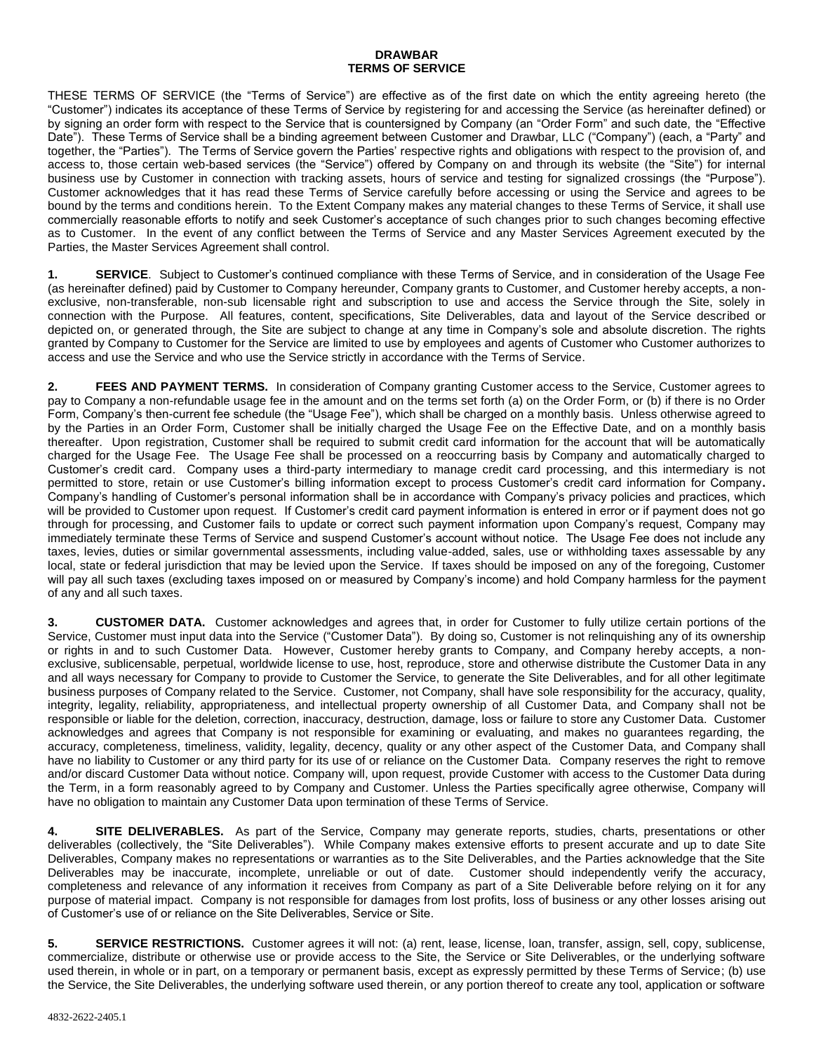## **DRAWBAR TERMS OF SERVICE**

THESE TERMS OF SERVICE (the "Terms of Service") are effective as of the first date on which the entity agreeing hereto (the "Customer") indicates its acceptance of these Terms of Service by registering for and accessing the Service (as hereinafter defined) or by signing an order form with respect to the Service that is countersigned by Company (an "Order Form" and such date, the "Effective Date"). These Terms of Service shall be a binding agreement between Customer and Drawbar, LLC ("Company") (each, a "Party" and together, the "Parties"). The Terms of Service govern the Parties' respective rights and obligations with respect to the provision of, and access to, those certain web-based services (the "Service") offered by Company on and through its website (the "Site") for internal business use by Customer in connection with tracking assets, hours of service and testing for signalized crossings (the "Purpose"). Customer acknowledges that it has read these Terms of Service carefully before accessing or using the Service and agrees to be bound by the terms and conditions herein. To the Extent Company makes any material changes to these Terms of Service, it shall use commercially reasonable efforts to notify and seek Customer's acceptance of such changes prior to such changes becoming effective as to Customer. In the event of any conflict between the Terms of Service and any Master Services Agreement executed by the Parties, the Master Services Agreement shall control.

**1. SERVICE**. Subject to Customer's continued compliance with these Terms of Service, and in consideration of the Usage Fee (as hereinafter defined) paid by Customer to Company hereunder, Company grants to Customer, and Customer hereby accepts, a nonexclusive, non-transferable, non-sub licensable right and subscription to use and access the Service through the Site, solely in connection with the Purpose. All features, content, specifications, Site Deliverables, data and layout of the Service described or depicted on, or generated through, the Site are subject to change at any time in Company's sole and absolute discretion. The rights granted by Company to Customer for the Service are limited to use by employees and agents of Customer who Customer authorizes to access and use the Service and who use the Service strictly in accordance with the Terms of Service.

**2. FEES AND PAYMENT TERMS.** In consideration of Company granting Customer access to the Service, Customer agrees to pay to Company a non-refundable usage fee in the amount and on the terms set forth (a) on the Order Form, or (b) if there is no Order Form, Company's then-current fee schedule (the "Usage Fee"), which shall be charged on a monthly basis. Unless otherwise agreed to by the Parties in an Order Form, Customer shall be initially charged the Usage Fee on the Effective Date, and on a monthly basis thereafter.Upon registration, Customer shall be required to submit credit card information for the account that will be automatically charged for the Usage Fee. The Usage Fee shall be processed on a reoccurring basis by Company and automatically charged to Customer's credit card. Company uses a third-party intermediary to manage credit card processing, and this intermediary is not permitted to store, retain or use Customer's billing information except to process Customer's credit card information for Company**.**  Company's handling of Customer's personal information shall be in accordance with Company's privacy policies and practices, which will be provided to Customer upon request. If Customer's credit card payment information is entered in error or if payment does not go through for processing, and Customer fails to update or correct such payment information upon Company's request, Company may immediately terminate these Terms of Service and suspend Customer's account without notice. The Usage Fee does not include any taxes, levies, duties or similar governmental assessments, including value-added, sales, use or withholding taxes assessable by any local, state or federal jurisdiction that may be levied upon the Service. If taxes should be imposed on any of the foregoing, Customer will pay all such taxes (excluding taxes imposed on or measured by Company's income) and hold Company harmless for the payment of any and all such taxes.

**3. CUSTOMER DATA.** Customer acknowledges and agrees that, in order for Customer to fully utilize certain portions of the Service, Customer must input data into the Service ("Customer Data"). By doing so, Customer is not relinquishing any of its ownership or rights in and to such Customer Data. However, Customer hereby grants to Company, and Company hereby accepts, a nonexclusive, sublicensable, perpetual, worldwide license to use, host, reproduce, store and otherwise distribute the Customer Data in any and all ways necessary for Company to provide to Customer the Service, to generate the Site Deliverables, and for all other legitimate business purposes of Company related to the Service. Customer, not Company, shall have sole responsibility for the accuracy, quality, integrity, legality, reliability, appropriateness, and intellectual property ownership of all Customer Data, and Company shall not be responsible or liable for the deletion, correction, inaccuracy, destruction, damage, loss or failure to store any Customer Data. Customer acknowledges and agrees that Company is not responsible for examining or evaluating, and makes no guarantees regarding, the accuracy, completeness, timeliness, validity, legality, decency, quality or any other aspect of the Customer Data, and Company shall have no liability to Customer or any third party for its use of or reliance on the Customer Data. Company reserves the right to remove and/or discard Customer Data without notice. Company will, upon request, provide Customer with access to the Customer Data during the Term, in a form reasonably agreed to by Company and Customer. Unless the Parties specifically agree otherwise, Company will have no obligation to maintain any Customer Data upon termination of these Terms of Service.

**4. SITE DELIVERABLES.** As part of the Service, Company may generate reports, studies, charts, presentations or other deliverables (collectively, the "Site Deliverables"). While Company makes extensive efforts to present accurate and up to date Site Deliverables, Company makes no representations or warranties as to the Site Deliverables, and the Parties acknowledge that the Site Deliverables may be inaccurate, incomplete, unreliable or out of date. Customer should independently verify the accuracy, completeness and relevance of any information it receives from Company as part of a Site Deliverable before relying on it for any purpose of material impact. Company is not responsible for damages from lost profits, loss of business or any other losses arising out of Customer's use of or reliance on the Site Deliverables, Service or Site.

**5. SERVICE RESTRICTIONS.** Customer agrees it will not: (a) rent, lease, license, loan, transfer, assign, sell, copy, sublicense, commercialize, distribute or otherwise use or provide access to the Site, the Service or Site Deliverables, or the underlying software used therein, in whole or in part, on a temporary or permanent basis, except as expressly permitted by these Terms of Service; (b) use the Service, the Site Deliverables, the underlying software used therein, or any portion thereof to create any tool, application or software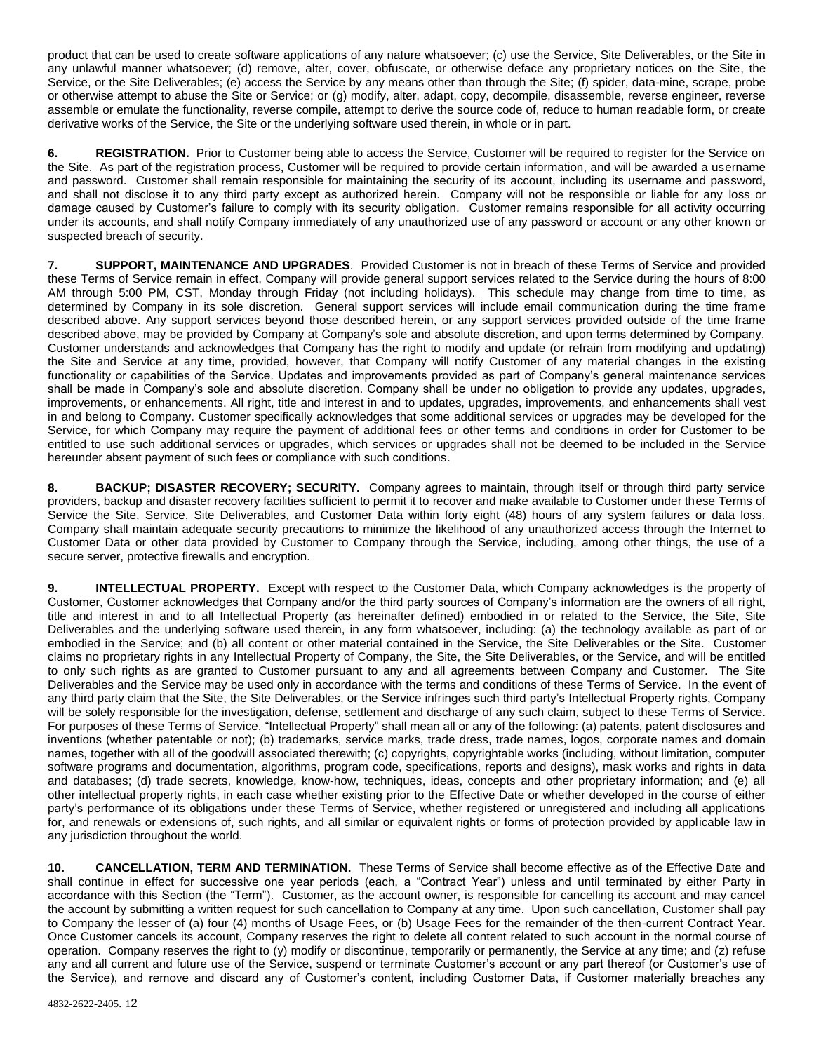product that can be used to create software applications of any nature whatsoever; (c) use the Service, Site Deliverables, or the Site in any unlawful manner whatsoever; (d) remove, alter, cover, obfuscate, or otherwise deface any proprietary notices on the Site, the Service, or the Site Deliverables; (e) access the Service by any means other than through the Site; (f) spider, data-mine, scrape, probe or otherwise attempt to abuse the Site or Service; or (g) modify, alter, adapt, copy, decompile, disassemble, reverse engineer, reverse assemble or emulate the functionality, reverse compile, attempt to derive the source code of, reduce to human readable form, or create derivative works of the Service, the Site or the underlying software used therein, in whole or in part.

**6. REGISTRATION.** Prior to Customer being able to access the Service, Customer will be required to register for the Service on the Site. As part of the registration process, Customer will be required to provide certain information, and will be awarded a username and password. Customer shall remain responsible for maintaining the security of its account, including its username and password, and shall not disclose it to any third party except as authorized herein. Company will not be responsible or liable for any loss or damage caused by Customer's failure to comply with its security obligation. Customer remains responsible for all activity occurring under its accounts, and shall notify Company immediately of any unauthorized use of any password or account or any other known or suspected breach of security.

**7. SUPPORT, MAINTENANCE AND UPGRADES**. Provided Customer is not in breach of these Terms of Service and provided these Terms of Service remain in effect, Company will provide general support services related to the Service during the hours of 8:00 AM through 5:00 PM, CST, Monday through Friday (not including holidays). This schedule may change from time to time, as determined by Company in its sole discretion. General support services will include email communication during the time frame described above. Any support services beyond those described herein, or any support services provided outside of the time frame described above, may be provided by Company at Company's sole and absolute discretion, and upon terms determined by Company. Customer understands and acknowledges that Company has the right to modify and update (or refrain from modifying and updating) the Site and Service at any time, provided, however, that Company will notify Customer of any material changes in the existing functionality or capabilities of the Service. Updates and improvements provided as part of Company's general maintenance services shall be made in Company's sole and absolute discretion. Company shall be under no obligation to provide any updates, upgrades, improvements, or enhancements. All right, title and interest in and to updates, upgrades, improvements, and enhancements shall vest in and belong to Company. Customer specifically acknowledges that some additional services or upgrades may be developed for the Service, for which Company may require the payment of additional fees or other terms and conditions in order for Customer to be entitled to use such additional services or upgrades, which services or upgrades shall not be deemed to be included in the Service hereunder absent payment of such fees or compliance with such conditions.

**8. BACKUP; DISASTER RECOVERY; SECURITY.** Company agrees to maintain, through itself or through third party service providers, backup and disaster recovery facilities sufficient to permit it to recover and make available to Customer under these Terms of Service the Site, Service, Site Deliverables, and Customer Data within forty eight (48) hours of any system failures or data loss. Company shall maintain adequate security precautions to minimize the likelihood of any unauthorized access through the Internet to Customer Data or other data provided by Customer to Company through the Service, including, among other things, the use of a secure server, protective firewalls and encryption.

**9. INTELLECTUAL PROPERTY.** Except with respect to the Customer Data, which Company acknowledges is the property of Customer, Customer acknowledges that Company and/or the third party sources of Company's information are the owners of all right, title and interest in and to all Intellectual Property (as hereinafter defined) embodied in or related to the Service, the Site, Site Deliverables and the underlying software used therein, in any form whatsoever, including: (a) the technology available as part of or embodied in the Service; and (b) all content or other material contained in the Service, the Site Deliverables or the Site. Customer claims no proprietary rights in any Intellectual Property of Company, the Site, the Site Deliverables, or the Service, and will be entitled to only such rights as are granted to Customer pursuant to any and all agreements between Company and Customer. The Site Deliverables and the Service may be used only in accordance with the terms and conditions of these Terms of Service. In the event of any third party claim that the Site, the Site Deliverables, or the Service infringes such third party's Intellectual Property rights, Company will be solely responsible for the investigation, defense, settlement and discharge of any such claim, subject to these Terms of Service. For purposes of these Terms of Service, "Intellectual Property" shall mean all or any of the following: (a) patents, patent disclosures and inventions (whether patentable or not); (b) trademarks, service marks, trade dress, trade names, logos, corporate names and domain names, together with all of the goodwill associated therewith; (c) copyrights, copyrightable works (including, without limitation, computer software programs and documentation, algorithms, program code, specifications, reports and designs), mask works and rights in data and databases; (d) trade secrets, knowledge, know-how, techniques, ideas, concepts and other proprietary information; and (e) all other intellectual property rights, in each case whether existing prior to the Effective Date or whether developed in the course of either party's performance of its obligations under these Terms of Service, whether registered or unregistered and including all applications for, and renewals or extensions of, such rights, and all similar or equivalent rights or forms of protection provided by applicable law in any jurisdiction throughout the world.

**10. CANCELLATION, TERM AND TERMINATION.** These Terms of Service shall become effective as of the Effective Date and shall continue in effect for successive one year periods (each, a "Contract Year") unless and until terminated by either Party in accordance with this Section (the "Term"). Customer, as the account owner, is responsible for cancelling its account and may cancel the account by submitting a written request for such cancellation to Company at any time. Upon such cancellation, Customer shall pay to Company the lesser of (a) four (4) months of Usage Fees, or (b) Usage Fees for the remainder of the then-current Contract Year. Once Customer cancels its account, Company reserves the right to delete all content related to such account in the normal course of operation. Company reserves the right to (y) modify or discontinue, temporarily or permanently, the Service at any time; and (z) refuse any and all current and future use of the Service, suspend or terminate Customer's account or any part thereof (or Customer's use of the Service), and remove and discard any of Customer's content, including Customer Data, if Customer materially breaches any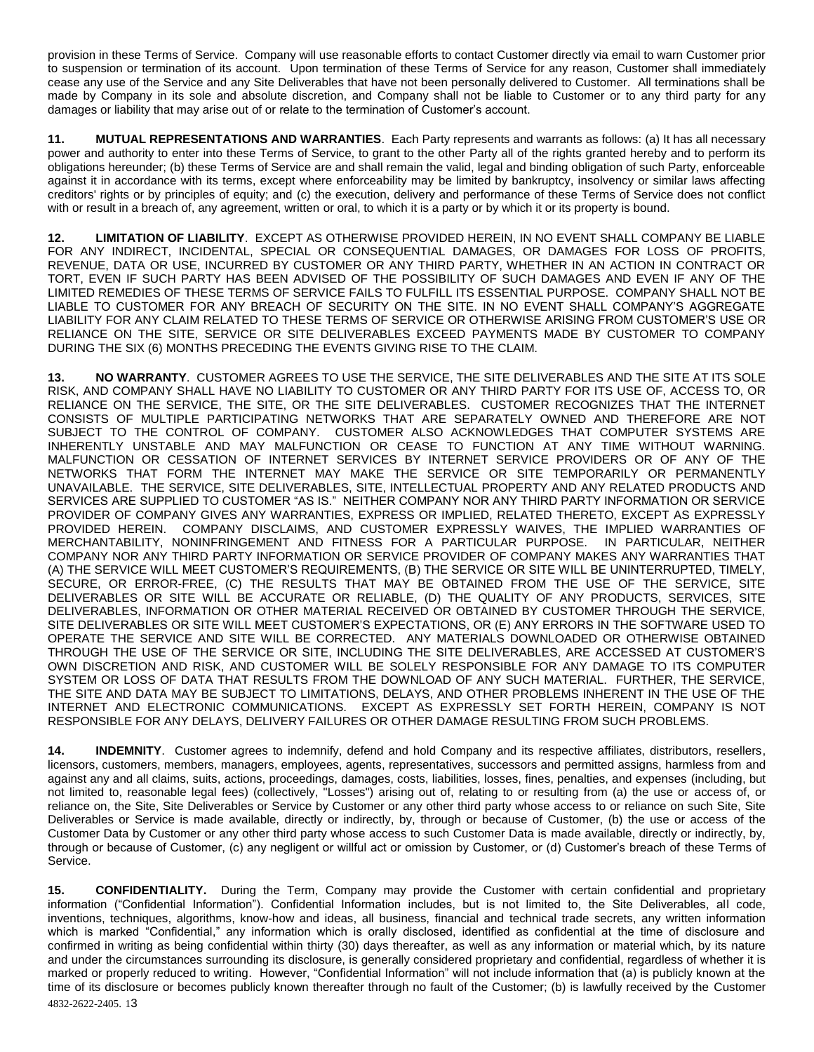provision in these Terms of Service. Company will use reasonable efforts to contact Customer directly via email to warn Customer prior to suspension or termination of its account. Upon termination of these Terms of Service for any reason, Customer shall immediately cease any use of the Service and any Site Deliverables that have not been personally delivered to Customer. All terminations shall be made by Company in its sole and absolute discretion, and Company shall not be liable to Customer or to any third party for any damages or liability that may arise out of or relate to the termination of Customer's account.

**11. MUTUAL REPRESENTATIONS AND WARRANTIES**. Each Party represents and warrants as follows: (a) It has all necessary power and authority to enter into these Terms of Service, to grant to the other Party all of the rights granted hereby and to perform its obligations hereunder; (b) these Terms of Service are and shall remain the valid, legal and binding obligation of such Party, enforceable against it in accordance with its terms, except where enforceability may be limited by bankruptcy, insolvency or similar laws affecting creditors' rights or by principles of equity; and (c) the execution, delivery and performance of these Terms of Service does not conflict with or result in a breach of, any agreement, written or oral, to which it is a party or by which it or its property is bound.

**12. LIMITATION OF LIABILITY**. EXCEPT AS OTHERWISE PROVIDED HEREIN, IN NO EVENT SHALL COMPANY BE LIABLE FOR ANY INDIRECT, INCIDENTAL, SPECIAL OR CONSEQUENTIAL DAMAGES, OR DAMAGES FOR LOSS OF PROFITS, REVENUE, DATA OR USE, INCURRED BY CUSTOMER OR ANY THIRD PARTY, WHETHER IN AN ACTION IN CONTRACT OR TORT, EVEN IF SUCH PARTY HAS BEEN ADVISED OF THE POSSIBILITY OF SUCH DAMAGES AND EVEN IF ANY OF THE LIMITED REMEDIES OF THESE TERMS OF SERVICE FAILS TO FULFILL ITS ESSENTIAL PURPOSE. COMPANY SHALL NOT BE LIABLE TO CUSTOMER FOR ANY BREACH OF SECURITY ON THE SITE. IN NO EVENT SHALL COMPANY'S AGGREGATE LIABILITY FOR ANY CLAIM RELATED TO THESE TERMS OF SERVICE OR OTHERWISE ARISING FROM CUSTOMER'S USE OR RELIANCE ON THE SITE, SERVICE OR SITE DELIVERABLES EXCEED PAYMENTS MADE BY CUSTOMER TO COMPANY DURING THE SIX (6) MONTHS PRECEDING THE EVENTS GIVING RISE TO THE CLAIM.

**13. NO WARRANTY**. CUSTOMER AGREES TO USE THE SERVICE, THE SITE DELIVERABLES AND THE SITE AT ITS SOLE RISK, AND COMPANY SHALL HAVE NO LIABILITY TO CUSTOMER OR ANY THIRD PARTY FOR ITS USE OF, ACCESS TO, OR RELIANCE ON THE SERVICE, THE SITE, OR THE SITE DELIVERABLES. CUSTOMER RECOGNIZES THAT THE INTERNET CONSISTS OF MULTIPLE PARTICIPATING NETWORKS THAT ARE SEPARATELY OWNED AND THEREFORE ARE NOT SUBJECT TO THE CONTROL OF COMPANY. CUSTOMER ALSO ACKNOWLEDGES THAT COMPUTER SYSTEMS ARE INHERENTLY UNSTABLE AND MAY MALFUNCTION OR CEASE TO FUNCTION AT ANY TIME WITHOUT WARNING. MALFUNCTION OR CESSATION OF INTERNET SERVICES BY INTERNET SERVICE PROVIDERS OR OF ANY OF THE NETWORKS THAT FORM THE INTERNET MAY MAKE THE SERVICE OR SITE TEMPORARILY OR PERMANENTLY UNAVAILABLE. THE SERVICE, SITE DELIVERABLES, SITE, INTELLECTUAL PROPERTY AND ANY RELATED PRODUCTS AND SERVICES ARE SUPPLIED TO CUSTOMER "AS IS." NEITHER COMPANY NOR ANY THIRD PARTY INFORMATION OR SERVICE PROVIDER OF COMPANY GIVES ANY WARRANTIES, EXPRESS OR IMPLIED, RELATED THERETO, EXCEPT AS EXPRESSLY PROVIDED HEREIN. COMPANY DISCLAIMS, AND CUSTOMER EXPRESSLY WAIVES, THE IMPLIED WARRANTIES OF MERCHANTABILITY, NONINFRINGEMENT AND FITNESS FOR A PARTICULAR PURPOSE. IN PARTICULAR, NEITHER COMPANY NOR ANY THIRD PARTY INFORMATION OR SERVICE PROVIDER OF COMPANY MAKES ANY WARRANTIES THAT (A) THE SERVICE WILL MEET CUSTOMER'S REQUIREMENTS, (B) THE SERVICE OR SITE WILL BE UNINTERRUPTED, TIMELY, SECURE, OR ERROR-FREE, (C) THE RESULTS THAT MAY BE OBTAINED FROM THE USE OF THE SERVICE, SITE DELIVERABLES OR SITE WILL BE ACCURATE OR RELIABLE, (D) THE QUALITY OF ANY PRODUCTS, SERVICES, SITE DELIVERABLES, INFORMATION OR OTHER MATERIAL RECEIVED OR OBTAINED BY CUSTOMER THROUGH THE SERVICE, SITE DELIVERABLES OR SITE WILL MEET CUSTOMER'S EXPECTATIONS, OR (E) ANY ERRORS IN THE SOFTWARE USED TO OPERATE THE SERVICE AND SITE WILL BE CORRECTED. ANY MATERIALS DOWNLOADED OR OTHERWISE OBTAINED THROUGH THE USE OF THE SERVICE OR SITE, INCLUDING THE SITE DELIVERABLES, ARE ACCESSED AT CUSTOMER'S OWN DISCRETION AND RISK, AND CUSTOMER WILL BE SOLELY RESPONSIBLE FOR ANY DAMAGE TO ITS COMPUTER SYSTEM OR LOSS OF DATA THAT RESULTS FROM THE DOWNLOAD OF ANY SUCH MATERIAL. FURTHER, THE SERVICE, THE SITE AND DATA MAY BE SUBJECT TO LIMITATIONS, DELAYS, AND OTHER PROBLEMS INHERENT IN THE USE OF THE INTERNET AND ELECTRONIC COMMUNICATIONS. EXCEPT AS EXPRESSLY SET FORTH HEREIN, COMPANY IS NOT RESPONSIBLE FOR ANY DELAYS, DELIVERY FAILURES OR OTHER DAMAGE RESULTING FROM SUCH PROBLEMS.

**14. INDEMNITY**. Customer agrees to indemnify, defend and hold Company and its respective affiliates, distributors, resellers, licensors, customers, members, managers, employees, agents, representatives, successors and permitted assigns, harmless from and against any and all claims, suits, actions, proceedings, damages, costs, liabilities, losses, fines, penalties, and expenses (including, but not limited to, reasonable legal fees) (collectively, "Losses") arising out of, relating to or resulting from (a) the use or access of, or reliance on, the Site, Site Deliverables or Service by Customer or any other third party whose access to or reliance on such Site, Site Deliverables or Service is made available, directly or indirectly, by, through or because of Customer, (b) the use or access of the Customer Data by Customer or any other third party whose access to such Customer Data is made available, directly or indirectly, by, through or because of Customer, (c) any negligent or willful act or omission by Customer, or (d) Customer's breach of these Terms of Service.

4832-2622-2405. 13 **15. CONFIDENTIALITY.** During the Term, Company may provide the Customer with certain confidential and proprietary information ("Confidential Information"). Confidential Information includes, but is not limited to, the Site Deliverables, all code, inventions, techniques, algorithms, know-how and ideas, all business, financial and technical trade secrets, any written information which is marked "Confidential," any information which is orally disclosed, identified as confidential at the time of disclosure and confirmed in writing as being confidential within thirty (30) days thereafter, as well as any information or material which, by its nature and under the circumstances surrounding its disclosure, is generally considered proprietary and confidential, regardless of whether it is marked or properly reduced to writing. However, "Confidential Information" will not include information that (a) is publicly known at the time of its disclosure or becomes publicly known thereafter through no fault of the Customer; (b) is lawfully received by the Customer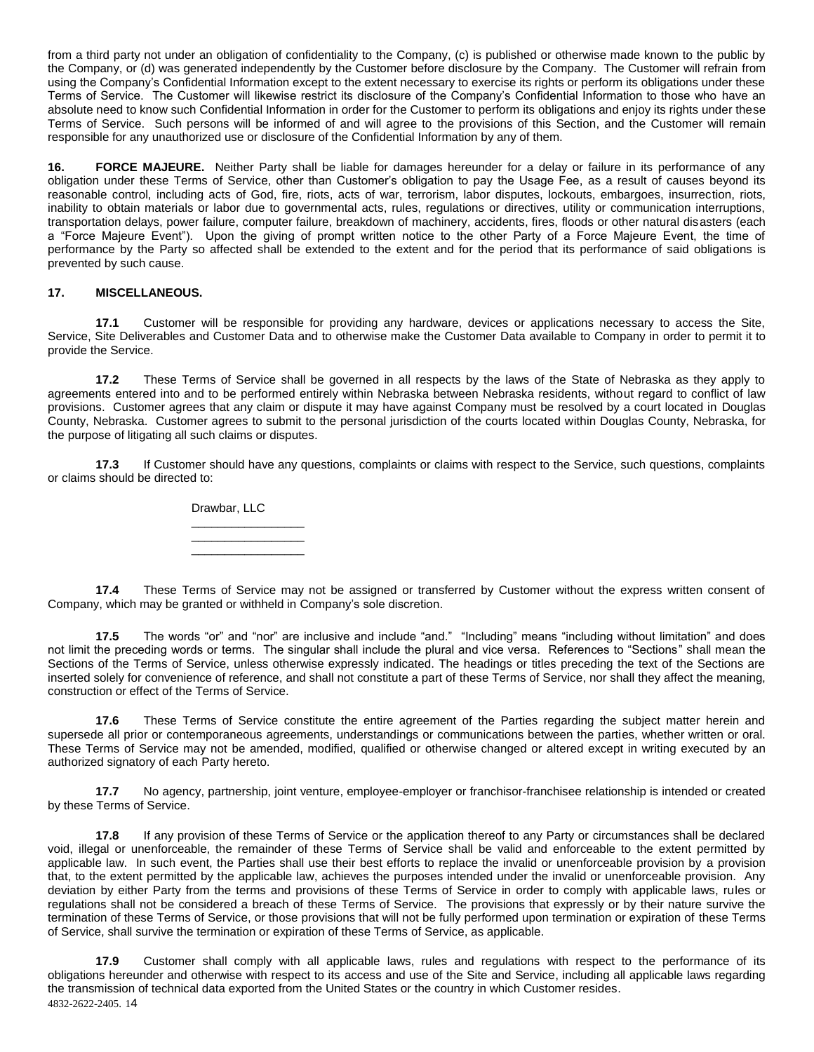from a third party not under an obligation of confidentiality to the Company, (c) is published or otherwise made known to the public by the Company, or (d) was generated independently by the Customer before disclosure by the Company. The Customer will refrain from using the Company's Confidential Information except to the extent necessary to exercise its rights or perform its obligations under these Terms of Service. The Customer will likewise restrict its disclosure of the Company's Confidential Information to those who have an absolute need to know such Confidential Information in order for the Customer to perform its obligations and enjoy its rights under these Terms of Service. Such persons will be informed of and will agree to the provisions of this Section, and the Customer will remain responsible for any unauthorized use or disclosure of the Confidential Information by any of them.

**16. FORCE MAJEURE.** Neither Party shall be liable for damages hereunder for a delay or failure in its performance of any obligation under these Terms of Service, other than Customer's obligation to pay the Usage Fee, as a result of causes beyond its reasonable control, including acts of God, fire, riots, acts of war, terrorism, labor disputes, lockouts, embargoes, insurrection, riots, inability to obtain materials or labor due to governmental acts, rules, regulations or directives, utility or communication interruptions, transportation delays, power failure, computer failure, breakdown of machinery, accidents, fires, floods or other natural disasters (each a "Force Majeure Event"). Upon the giving of prompt written notice to the other Party of a Force Majeure Event, the time of performance by the Party so affected shall be extended to the extent and for the period that its performance of said obligations is prevented by such cause.

## **17. MISCELLANEOUS.**

**17.1** Customer will be responsible for providing any hardware, devices or applications necessary to access the Site, Service, Site Deliverables and Customer Data and to otherwise make the Customer Data available to Company in order to permit it to provide the Service.

**17.2** These Terms of Service shall be governed in all respects by the laws of the State of Nebraska as they apply to agreements entered into and to be performed entirely within Nebraska between Nebraska residents, without regard to conflict of law provisions. Customer agrees that any claim or dispute it may have against Company must be resolved by a court located in Douglas County, Nebraska. Customer agrees to submit to the personal jurisdiction of the courts located within Douglas County, Nebraska, for the purpose of litigating all such claims or disputes.

**17.3** If Customer should have any questions, complaints or claims with respect to the Service, such questions, complaints or claims should be directed to:

> Drawbar, LLC \_\_\_\_\_\_\_\_\_\_\_\_\_\_\_\_\_

\_\_\_\_\_\_\_\_\_\_\_\_\_\_\_\_\_ \_\_\_\_\_\_\_\_\_\_\_\_\_\_\_\_\_

**17.4** These Terms of Service may not be assigned or transferred by Customer without the express written consent of Company, which may be granted or withheld in Company's sole discretion.

**17.5** The words "or" and "nor" are inclusive and include "and." "Including" means "including without limitation" and does not limit the preceding words or terms. The singular shall include the plural and vice versa. References to "Sections" shall mean the Sections of the Terms of Service, unless otherwise expressly indicated. The headings or titles preceding the text of the Sections are inserted solely for convenience of reference, and shall not constitute a part of these Terms of Service, nor shall they affect the meaning, construction or effect of the Terms of Service.

**17.6** These Terms of Service constitute the entire agreement of the Parties regarding the subject matter herein and supersede all prior or contemporaneous agreements, understandings or communications between the parties, whether written or oral. These Terms of Service may not be amended, modified, qualified or otherwise changed or altered except in writing executed by an authorized signatory of each Party hereto.

**17.7** No agency, partnership, joint venture, employee-employer or franchisor-franchisee relationship is intended or created by these Terms of Service.

**17.8** If any provision of these Terms of Service or the application thereof to any Party or circumstances shall be declared void, illegal or unenforceable, the remainder of these Terms of Service shall be valid and enforceable to the extent permitted by applicable law. In such event, the Parties shall use their best efforts to replace the invalid or unenforceable provision by a provision that, to the extent permitted by the applicable law, achieves the purposes intended under the invalid or unenforceable provision. Any deviation by either Party from the terms and provisions of these Terms of Service in order to comply with applicable laws, rules or regulations shall not be considered a breach of these Terms of Service. The provisions that expressly or by their nature survive the termination of these Terms of Service, or those provisions that will not be fully performed upon termination or expiration of these Terms of Service, shall survive the termination or expiration of these Terms of Service, as applicable.

4832-2622-2405. 14 **17.9** Customer shall comply with all applicable laws, rules and regulations with respect to the performance of its obligations hereunder and otherwise with respect to its access and use of the Site and Service, including all applicable laws regarding the transmission of technical data exported from the United States or the country in which Customer resides.